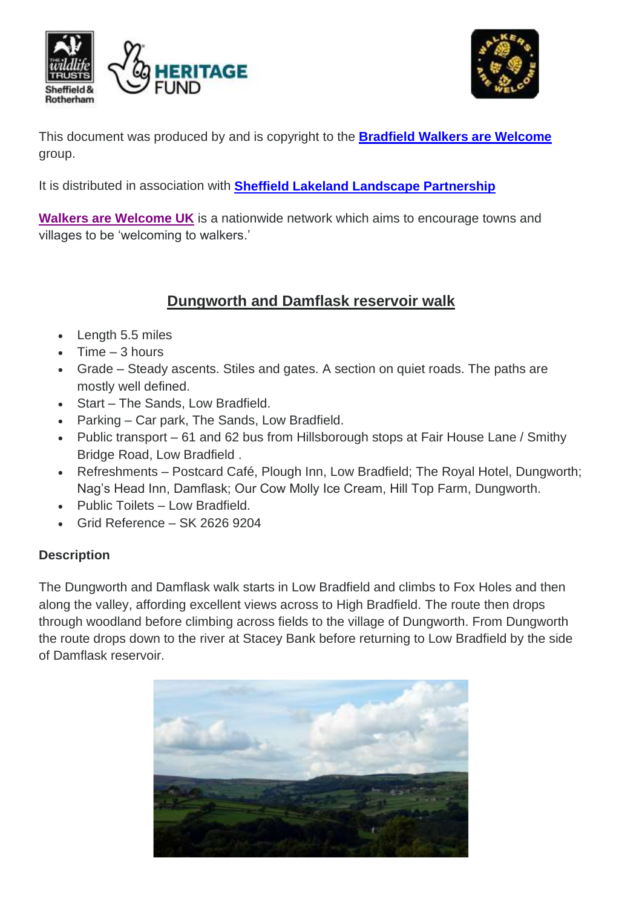



This document was produced by and is copyright to the **Bradfield [Walkers are Welcome](http://www.stocksbridge-walkers.org.uk/index.html)** group.

It is distributed in association with **[Sheffield Lakeland Landscape Partnership](https://www.wildsheffield.com/discover/your-community/sheffield-lakeland-landscape-partnership/)**

**[Walkers are Welcome UK](http://www.walkersarewelcome.org.uk/)** is a nationwide network which aims to encourage towns and villages to be 'welcoming to walkers.'

## **Dungworth and Damflask reservoir walk**

- Length 5.5 miles
- $\bullet$  Time  $-3$  hours
- Grade Steady ascents. Stiles and gates. A section on quiet roads. The paths are mostly well defined.
- Start The Sands, Low Bradfield.
- Parking Car park, The Sands, Low Bradfield.
- Public transport 61 and 62 bus from Hillsborough stops at Fair House Lane / Smithy Bridge Road, Low Bradfield .
- Refreshments Postcard Café, Plough Inn, Low Bradfield; The Royal Hotel, Dungworth; Nag's Head Inn, Damflask; Our Cow Molly Ice Cream, Hill Top Farm, Dungworth.
- Public Toilets Low Bradfield.
- Grid Reference SK 2626 9204

#### **Description**

The Dungworth and Damflask walk starts in Low Bradfield and climbs to Fox Holes and then along the valley, affording excellent views across to High Bradfield. The route then drops through woodland before climbing across fields to the village of Dungworth. From Dungworth the route drops down to the river at Stacey Bank before returning to Low Bradfield by the side of Damflask reservoir.

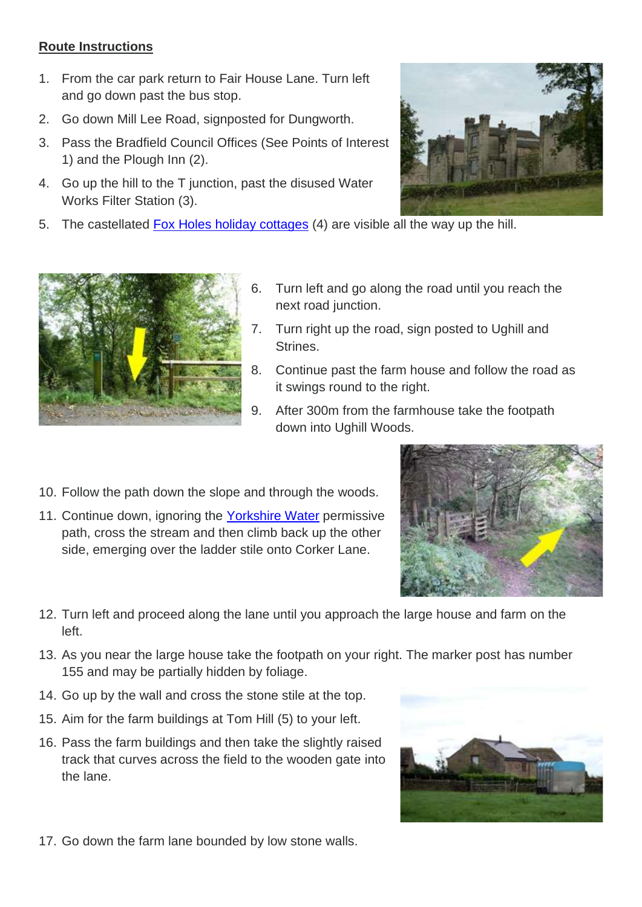#### **Route Instructions**

- 1. From the car park return to Fair House Lane. Turn left and go down past the bus stop.
- 2. Go down Mill Lee Road, signposted for Dungworth.
- 3. Pass the Bradfield Council Offices (See Points of Interest 1) and the Plough Inn (2).
- 4. Go up the hill to the T junction, past the disused Water Works Filter Station (3).
- 5. The castellated **Fox Holes holiday cottages** (4) are visible all the way up the hill.





- 6. Turn left and go along the road until you reach the next road junction.
- 7. Turn right up the road, sign posted to Ughill and Strines.
- 8. Continue past the farm house and follow the road as it swings round to the right.
- 9. After 300m from the farmhouse take the footpath down into Ughill Woods.
- 10. Follow the path down the slope and through the woods.
- 11. Continue down, ignoring the [Yorkshire Water](https://www.yorkshirewater.com/things-to-do) permissive path, cross the stream and then climb back up the other side, emerging over the ladder stile onto Corker Lane.



- 12. Turn left and proceed along the lane until you approach the large house and farm on the left.
- 13. As you near the large house take the footpath on your right. The marker post has number 155 and may be partially hidden by foliage.
- 14. Go up by the wall and cross the stone stile at the top.
- 15. Aim for the farm buildings at Tom Hill (5) to your left.
- 16. Pass the farm buildings and then take the slightly raised track that curves across the field to the wooden gate into the lane.



17. Go down the farm lane bounded by low stone walls.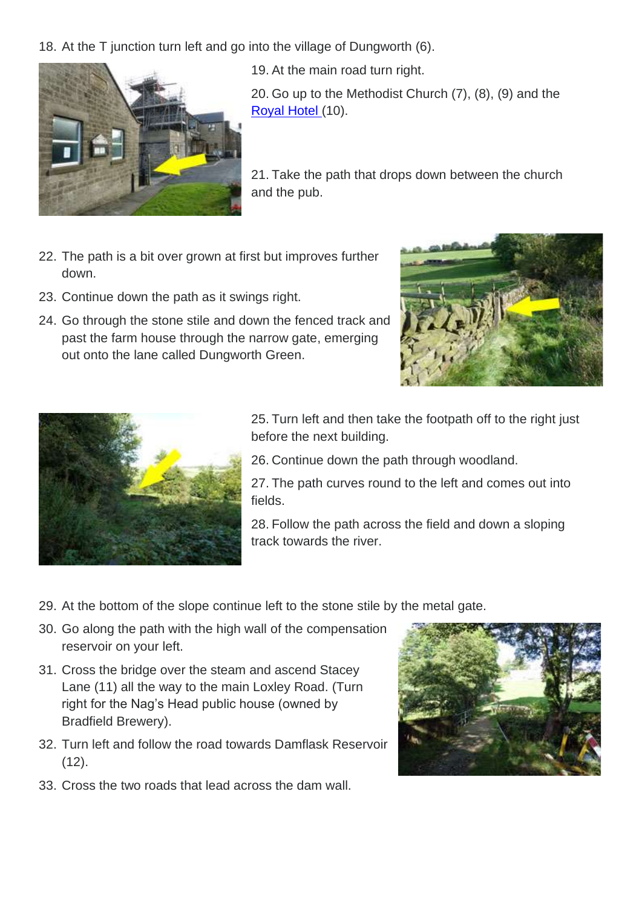18. At the T junction turn left and go into the village of Dungworth (6).



19. At the main road turn right.

20. Go up to the Methodist Church (7), (8), (9) and the [Royal Hotel \(](https://www.facebook.com/royal.dungworth/)10).

21. Take the path that drops down between the church and the pub.

- 22. The path is a bit over grown at first but improves further down.
- 23. Continue down the path as it swings right.
- 24. Go through the stone stile and down the fenced track and past the farm house through the narrow gate, emerging out onto the lane called Dungworth Green.





25. Turn left and then take the footpath off to the right just before the next building.

26. Continue down the path through woodland.

27. The path curves round to the left and comes out into fields.

28. Follow the path across the field and down a sloping track towards the river.

- 29. At the bottom of the slope continue left to the stone stile by the metal gate.
- 30. Go along the path with the high wall of the compensation reservoir on your left.
- 31. Cross the bridge over the steam and ascend Stacey Lane (11) all the way to the main Loxley Road. (Turn right for the Nag's Head public house (owned by Bradfield Brewery).
- 32. Turn left and follow the road towards Damflask Reservoir  $(12)$ .
- 
- 33. Cross the two roads that lead across the dam wall.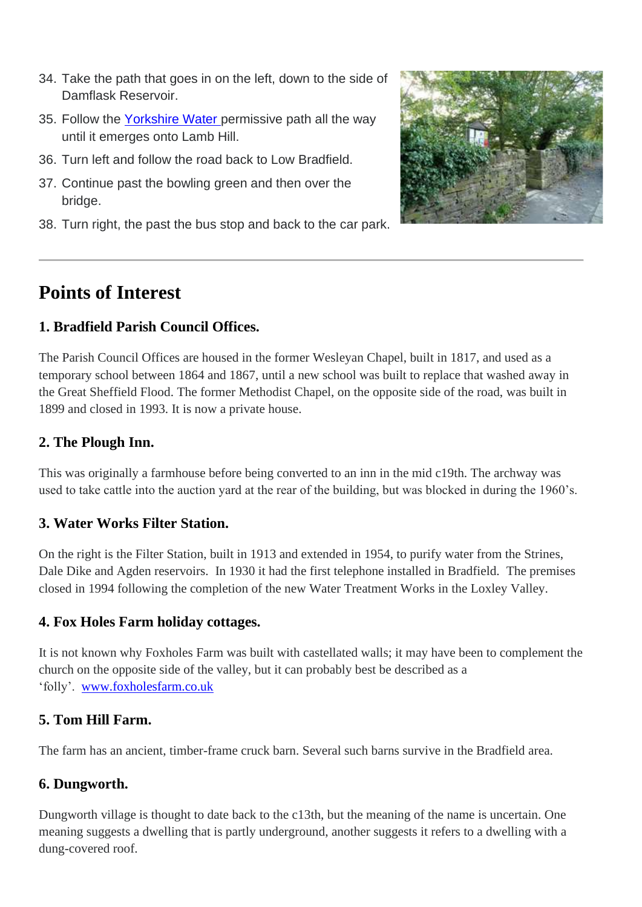- 34. Take the path that goes in on the left, down to the side of Damflask Reservoir.
- 35. Follow the [Yorkshire Water p](https://www.yorkshirewater.com/things-to-do)ermissive path all the way until it emerges onto Lamb Hill.
- 36. Turn left and follow the road back to Low Bradfield.
- 37. Continue past the bowling green and then over the bridge.
- 38. Turn right, the past the bus stop and back to the car park.



# **Points of Interest**

#### **1. Bradfield Parish Council Offices.**

The Parish Council Offices are housed in the former Wesleyan Chapel, built in 1817, and used as a temporary school between 1864 and 1867, until a new school was built to replace that washed away in the Great Sheffield Flood. The former Methodist Chapel, on the opposite side of the road, was built in 1899 and closed in 1993. It is now a private house.

#### **2. The Plough Inn.**

This was originally a farmhouse before being converted to an inn in the mid c19th. The archway was used to take cattle into the auction yard at the rear of the building, but was blocked in during the 1960's.

#### **3. Water Works Filter Station.**

On the right is the Filter Station, built in 1913 and extended in 1954, to purify water from the Strines, Dale Dike and Agden reservoirs. In 1930 it had the first telephone installed in Bradfield. The premises closed in 1994 following the completion of the new Water Treatment Works in the Loxley Valley.

#### **4. Fox Holes Farm holiday cottages.**

It is not known why Foxholes Farm was built with castellated walls; it may have been to complement the church on the opposite side of the valley, but it can probably best be described as a 'folly'. [www.foxholesfarm.co.uk](http://www.foxholesfarm.co.uk/)

## **5. Tom Hill Farm.**

The farm has an ancient, timber-frame cruck barn. Several such barns survive in the Bradfield area.

## **6. Dungworth.**

Dungworth village is thought to date back to the c13th, but the meaning of the name is uncertain. One meaning suggests a dwelling that is partly underground, another suggests it refers to a dwelling with a dung-covered roof.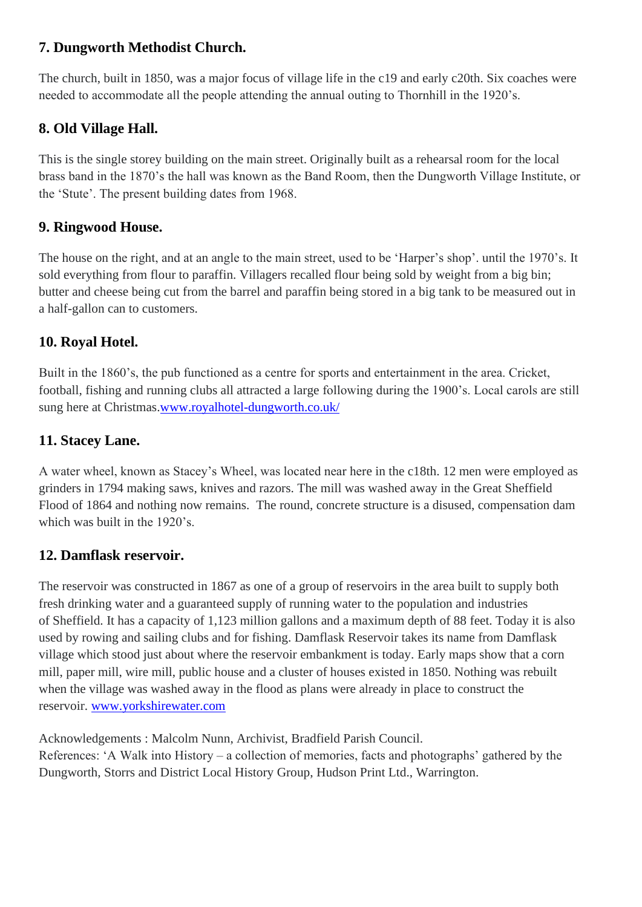#### **7. Dungworth Methodist Church.**

The church, built in 1850, was a major focus of village life in the c19 and early c20th. Six coaches were needed to accommodate all the people attending the annual outing to Thornhill in the 1920's.

## **8. Old Village Hall.**

This is the single storey building on the main street. Originally built as a rehearsal room for the local brass band in the 1870's the hall was known as the Band Room, then the Dungworth Village Institute, or the 'Stute'. The present building dates from 1968.

## **9. Ringwood House.**

The house on the right, and at an angle to the main street, used to be 'Harper's shop'. until the 1970's. It sold everything from flour to paraffin. Villagers recalled flour being sold by weight from a big bin; butter and cheese being cut from the barrel and paraffin being stored in a big tank to be measured out in a half-gallon can to customers.

## **10. Royal Hotel.**

Built in the 1860's, the pub functioned as a centre for sports and entertainment in the area. Cricket, football, fishing and running clubs all attracted a large following during the 1900's. Local carols are still sung here at Christmas[.www.royalhotel-dungworth.co.uk/](https://www.facebook.com/royal.dungworth/)

## **11. Stacey Lane.**

A water wheel, known as Stacey's Wheel, was located near here in the c18th. 12 men were employed as grinders in 1794 making saws, knives and razors. The mill was washed away in the Great Sheffield Flood of 1864 and nothing now remains. The round, concrete structure is a disused, compensation dam which was built in the 1920's.

## **12. Damflask reservoir.**

The reservoir was constructed in 1867 as one of a group of reservoirs in the area built to supply both fresh drinking water and a guaranteed supply of running water to the population and industries of Sheffield. It has a capacity of 1,123 million gallons and a maximum depth of 88 feet. Today it is also used by rowing and sailing clubs and for fishing. Damflask Reservoir takes its name from Damflask village which stood just about where the reservoir embankment is today. Early maps show that a corn mill, paper mill, wire mill, public house and a cluster of houses existed in 1850. Nothing was rebuilt when the village was washed away in the flood as plans were already in place to construct the reservoir. [www.yorkshirewater.com](https://www.yorkshirewater.com/things-to-do)

Acknowledgements : Malcolm Nunn, Archivist, Bradfield Parish Council.

References: 'A Walk into History – a collection of memories, facts and photographs' gathered by the Dungworth, Storrs and District Local History Group, Hudson Print Ltd., Warrington.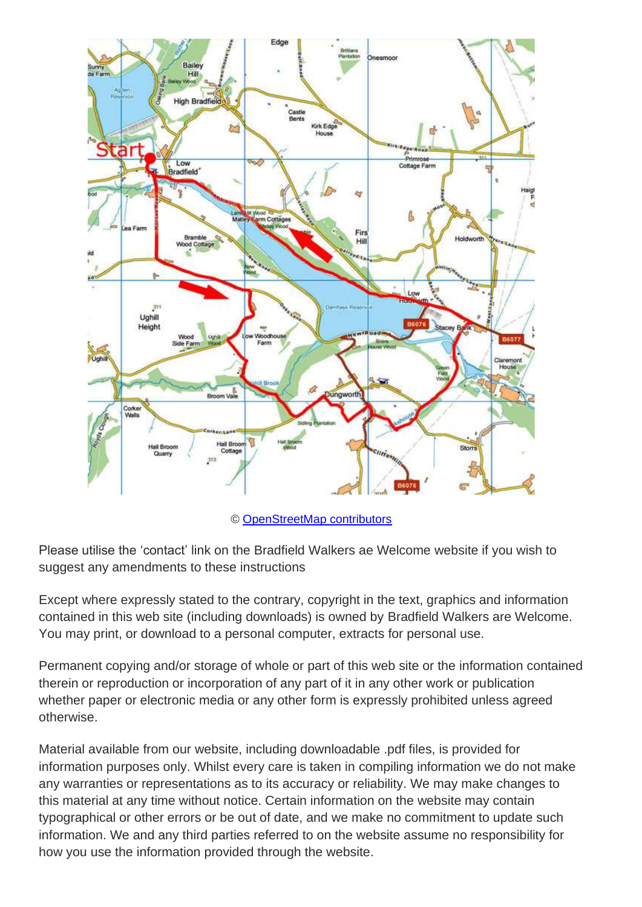

© [OpenStreetMap contributors](http://www.openstreetmap.org/copyright)

Please utilise the 'contact' link on the Bradfield Walkers ae Welcome website if you wish to suggest any amendments to these instructions

Except where expressly stated to the contrary, copyright in the text, graphics and information contained in this web site (including downloads) is owned by Bradfield Walkers are Welcome. You may print, or download to a personal computer, extracts for personal use.

Permanent copying and/or storage of whole or part of this web site or the information contained therein or reproduction or incorporation of any part of it in any other work or publication whether paper or electronic media or any other form is expressly prohibited unless agreed otherwise.

Material available from our website, including downloadable .pdf files, is provided for information purposes only. Whilst every care is taken in compiling information we do not make any warranties or representations as to its accuracy or reliability. We may make changes to this material at any time without notice. Certain information on the website may contain typographical or other errors or be out of date, and we make no commitment to update such information. We and any third parties referred to on the website assume no responsibility for how you use the information provided through the website.